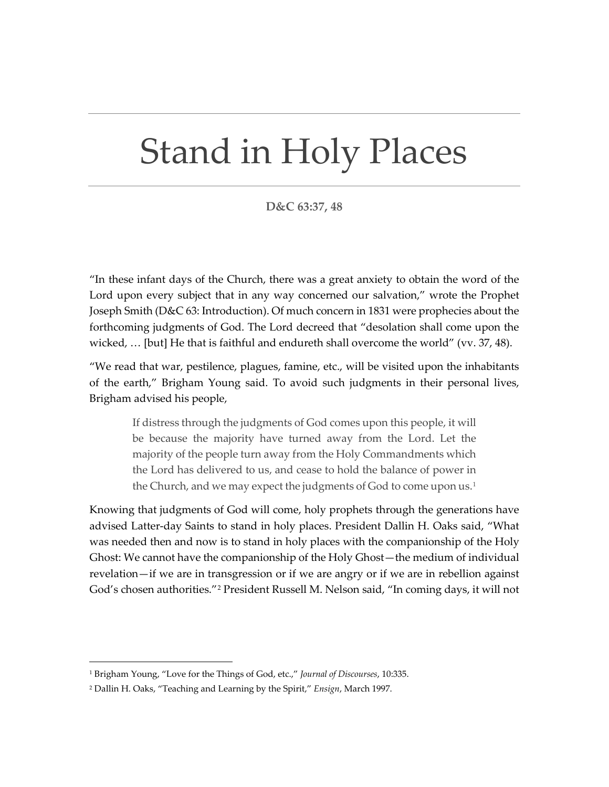## Stand in Holy Places

**D&C 63:37, 48**

"In these infant days of the Church, there was a great anxiety to obtain the word of the Lord upon every subject that in any way concerned our salvation," wrote the Prophet Joseph Smith (D&C 63: Introduction). Of much concern in 1831 were prophecies about the forthcoming judgments of God. The Lord decreed that "desolation shall come upon the wicked, … [but] He that is faithful and endureth shall overcome the world" (vv. 37, 48).

"We read that war, pestilence, plagues, famine, etc., will be visited upon the inhabitants of the earth," Brigham Young said. To avoid such judgments in their personal lives, Brigham advised his people,

If distress through the judgments of God comes upon this people, it will be because the majority have turned away from the Lord. Let the majority of the people turn away from the Holy Commandments which the Lord has delivered to us, and cease to hold the balance of power in the Church, and we may expect the judgments of God to come upon us.<sup>[1](#page-0-0)</sup>

Knowing that judgments of God will come, holy prophets through the generations have advised Latter-day Saints to stand in holy places. President Dallin H. Oaks said, "What was needed then and now is to stand in holy places with the companionship of the Holy Ghost: We cannot have the companionship of the Holy Ghost—the medium of individual revelation—if we are in transgression or if we are angry or if we are in rebellion against God's chosen authorities."[2](#page-0-1) President Russell M. Nelson said, "In coming days, it will not

<span id="page-0-0"></span><sup>1</sup> Brigham Young, "Love for the Things of God, etc.," *Journal of Discourses*, 10:335.

<span id="page-0-1"></span><sup>2</sup> Dallin H. Oaks, "Teaching and Learning by the Spirit," *Ensign*, March 1997.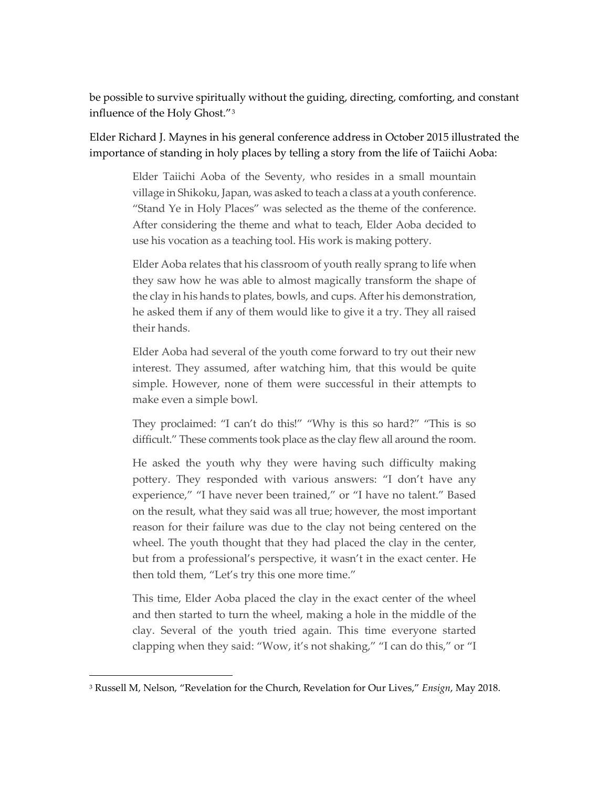be possible to survive spiritually without the guiding, directing, comforting, and constant influence of the Holy Ghost."[3](#page-1-0)

Elder Richard J. Maynes in his general conference address in October 2015 illustrated the importance of standing in holy places by telling a story from the life of Taiichi Aoba:

Elder Taiichi Aoba of the Seventy, who resides in a small mountain village in Shikoku, Japan, was asked to teach a class at a youth conference. "Stand Ye in Holy Places" was selected as the theme of the conference. After considering the theme and what to teach, Elder Aoba decided to use his vocation as a teaching tool. His work is making pottery.

Elder Aoba relates that his classroom of youth really sprang to life when they saw how he was able to almost magically transform the shape of the clay in his hands to plates, bowls, and cups. After his demonstration, he asked them if any of them would like to give it a try. They all raised their hands.

Elder Aoba had several of the youth come forward to try out their new interest. They assumed, after watching him, that this would be quite simple. However, none of them were successful in their attempts to make even a simple bowl.

They proclaimed: "I can't do this!" "Why is this so hard?" "This is so difficult." These comments took place as the clay flew all around the room.

He asked the youth why they were having such difficulty making pottery. They responded with various answers: "I don't have any experience," "I have never been trained," or "I have no talent." Based on the result, what they said was all true; however, the most important reason for their failure was due to the clay not being centered on the wheel. The youth thought that they had placed the clay in the center, but from a professional's perspective, it wasn't in the exact center. He then told them, "Let's try this one more time."

This time, Elder Aoba placed the clay in the exact center of the wheel and then started to turn the wheel, making a hole in the middle of the clay. Several of the youth tried again. This time everyone started clapping when they said: "Wow, it's not shaking," "I can do this," or "I

<span id="page-1-0"></span><sup>3</sup> Russell M, Nelson, "Revelation for the Church, Revelation for Our Lives," *Ensign*, May 2018.